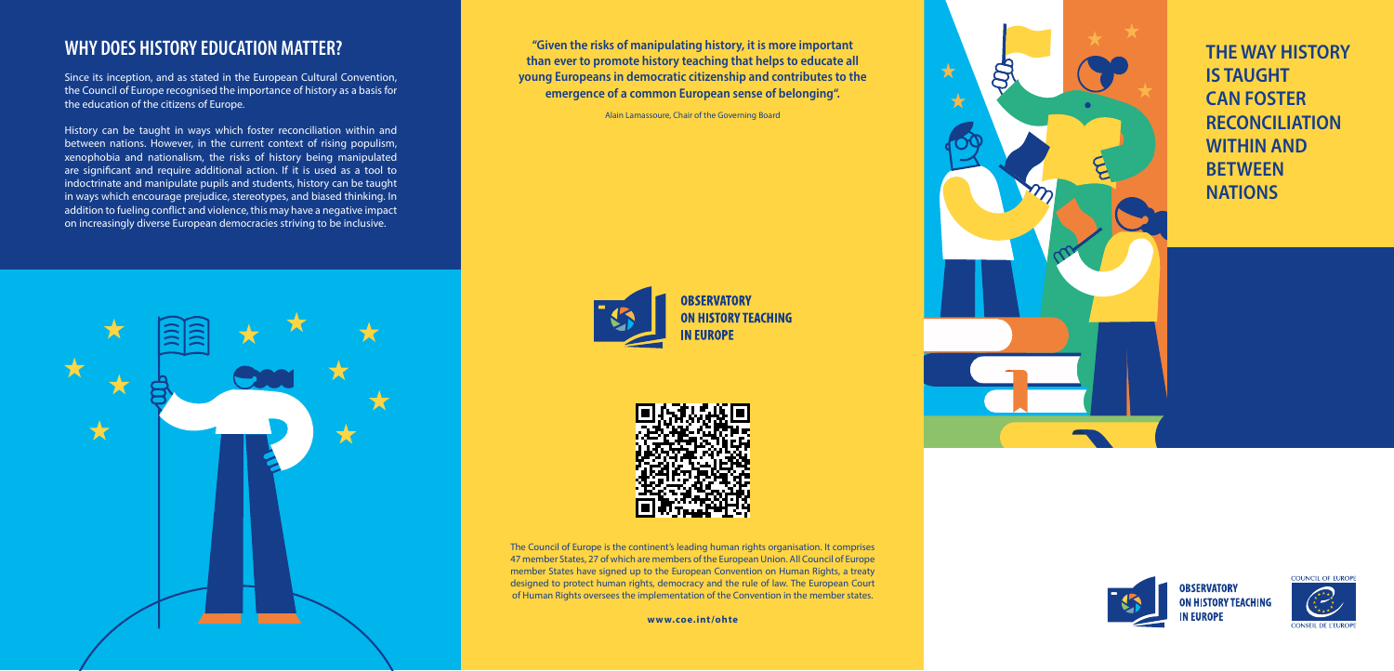The Council of Europe is the continent's leading human rights organisation. It comprises 47 member States, 27 of which are members of the European Union. All Council of Europe member States have signed up to the European Convention on Human Rights, a treaty designed to protect human rights, democracy and the rule of law. The European Court of Human Rights oversees the implementation of the Convention in the member states.

THE WAY HISTORY IS TAUGHT CAN FOSTER RECONCILIATION WITHIN AND **BETWEEN NATIONS** 



**OBSERVATORY ON HISTORY TEACHING IN EUROPE** 



**www.coe.int/ohte**

"Given the risks of manipulating history, it is more important than ever to promote history teaching that helps to educate all young Europeans in democratic citizenship and contributes to the emergence of a common European sense of belonging".

 $\bigstar$ 

 $\bigstar$ 

 $\bm{\beta}$ 

Alain Lamassoure, Chair of the Governing Board





## WHY DOES HISTORY EDUCATION MATTER?

Since its inception, and as stated in the European Cultural Convention, the Council of Europe recognised the importance of history as a basis for the education of the citizens of Europe.

History can be taught in ways which foster reconciliation within and between nations. However, in the current context of rising populism, xenophobia and nationalism, the risks of history being manipulated are significant and require additional action. If it is used as a tool to indoctrinate and manipulate pupils and students, history can be taught in ways which encourage prejudice, stereotypes, and biased thinking. In addition to fueling conflict and violence, this may have a negative impact on increasingly diverse European democracies striving to be inclusive.